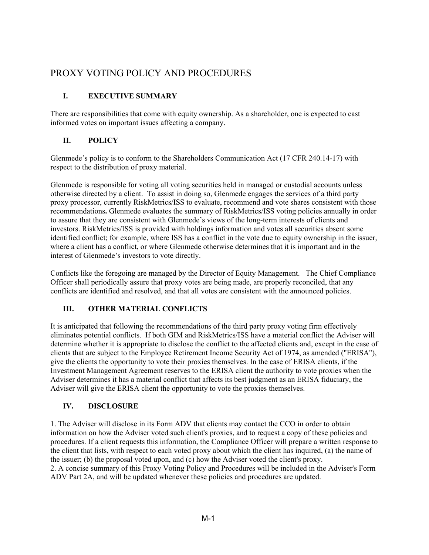# PROXY VOTING POLICY AND PROCEDURES

## **I. EXECUTIVE SUMMARY**

There are responsibilities that come with equity ownership. As a shareholder, one is expected to cast informed votes on important issues affecting a company.

#### **II. POLICY**

Glenmede's policy is to conform to the Shareholders Communication Act (17 CFR 240.14-17) with respect to the distribution of proxy material.

Glenmede is responsible for voting all voting securities held in managed or custodial accounts unless otherwise directed by a client. To assist in doing so, Glenmede engages the services of a third party proxy processor, currently RiskMetrics/ISS to evaluate, recommend and vote shares consistent with those recommendations**.** Glenmede evaluates the summary of RiskMetrics/ISS voting policies annually in order to assure that they are consistent with Glenmede's views of the long-term interests of clients and investors. RiskMetrics/ISS is provided with holdings information and votes all securities absent some identified conflict; for example, where ISS has a conflict in the vote due to equity ownership in the issuer, where a client has a conflict, or where Glenmede otherwise determines that it is important and in the interest of Glenmede's investors to vote directly.

Conflicts like the foregoing are managed by the Director of Equity Management. The Chief Compliance Officer shall periodically assure that proxy votes are being made, are properly reconciled, that any conflicts are identified and resolved, and that all votes are consistent with the announced policies.

## **III. OTHER MATERIAL CONFLICTS**

It is anticipated that following the recommendations of the third party proxy voting firm effectively eliminates potential conflicts. If both GIM and RiskMetrics/ISS have a material conflict the Adviser will determine whether it is appropriate to disclose the conflict to the affected clients and, except in the case of clients that are subject to the Employee Retirement Income Security Act of 1974, as amended ("ERISA"), give the clients the opportunity to vote their proxies themselves. In the case of ERISA clients, if the Investment Management Agreement reserves to the ERISA client the authority to vote proxies when the Adviser determines it has a material conflict that affects its best judgment as an ERISA fiduciary, the Adviser will give the ERISA client the opportunity to vote the proxies themselves.

#### **IV. DISCLOSURE**

1. The Adviser will disclose in its Form ADV that clients may contact the CCO in order to obtain information on how the Adviser voted such client's proxies, and to request a copy of these policies and procedures. If a client requests this information, the Compliance Officer will prepare a written response to the client that lists, with respect to each voted proxy about which the client has inquired, (a) the name of the issuer; (b) the proposal voted upon, and (c) how the Adviser voted the client's proxy. 2. A concise summary of this Proxy Voting Policy and Procedures will be included in the Adviser's Form ADV Part 2A, and will be updated whenever these policies and procedures are updated.